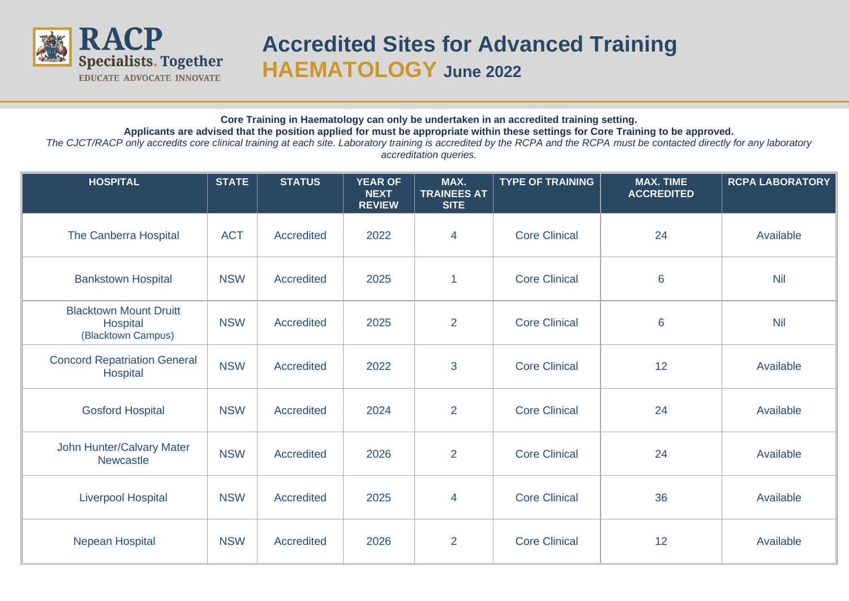

## **Accredited Sites for Advanced Training HAEMATOLOGY June 2022**

## **Core Training in Haematology can only be undertaken in an accredited training setting. Applicants are advised that the position applied for must be appropriate within these settings for Core Training to be approved.**

*The CJCT/RACP only accredits core clinical training at each site. Laboratory training is accredited by the RCPA and the RCPA must be contacted directly for any laboratory accreditation queries.*

| <b>HOSPITAL</b>                                                 | <b>STATE</b> | <b>STATUS</b>     | <b>YEAR OF</b><br><b>NEXT</b><br><b>REVIEW</b> | MAX.<br><b>TRAINEES AT</b><br><b>SITE</b> | <b>TYPE OF TRAINING</b> | <b>MAX. TIME</b><br><b>ACCREDITED</b> | <b>RCPA LABORATORY</b> |
|-----------------------------------------------------------------|--------------|-------------------|------------------------------------------------|-------------------------------------------|-------------------------|---------------------------------------|------------------------|
| The Canberra Hospital                                           | <b>ACT</b>   | <b>Accredited</b> | 2022                                           | 4                                         | <b>Core Clinical</b>    | 24                                    | Available              |
| <b>Bankstown Hospital</b>                                       | <b>NSW</b>   | <b>Accredited</b> | 2025                                           | $\overline{1}$                            | <b>Core Clinical</b>    | $6\phantom{1}6$                       | <b>Nil</b>             |
| <b>Blacktown Mount Druitt</b><br>Hospital<br>(Blacktown Campus) | <b>NSW</b>   | <b>Accredited</b> | 2025                                           | $\overline{2}$                            | <b>Core Clinical</b>    | $6\phantom{1}6$                       | <b>Nil</b>             |
| <b>Concord Repatriation General</b><br>Hospital                 | <b>NSW</b>   | <b>Accredited</b> | 2022                                           | 3                                         | <b>Core Clinical</b>    | 12                                    | Available              |
| <b>Gosford Hospital</b>                                         | <b>NSW</b>   | <b>Accredited</b> | 2024                                           | $\overline{2}$                            | <b>Core Clinical</b>    | 24                                    | Available              |
| John Hunter/Calvary Mater<br><b>Newcastle</b>                   | <b>NSW</b>   | <b>Accredited</b> | 2026                                           | $\overline{2}$                            | <b>Core Clinical</b>    | 24                                    | Available              |
| <b>Liverpool Hospital</b>                                       | <b>NSW</b>   | <b>Accredited</b> | 2025                                           | $\overline{4}$                            | <b>Core Clinical</b>    | 36                                    | Available              |
| Nepean Hospital                                                 | <b>NSW</b>   | <b>Accredited</b> | 2026                                           | 2                                         | <b>Core Clinical</b>    | 12                                    | Available              |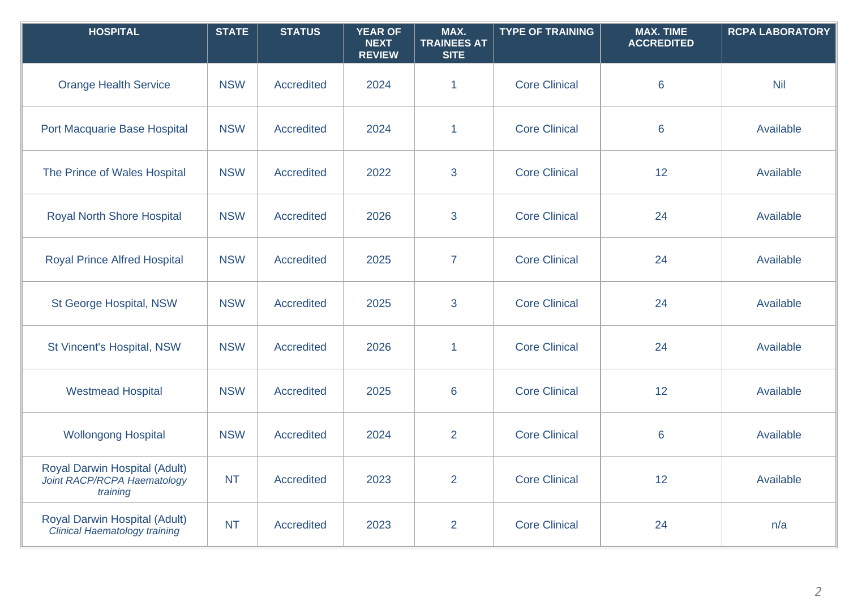| <b>HOSPITAL</b>                                                          | <b>STATE</b> | <b>STATUS</b>     | <b>YEAR OF</b><br><b>NEXT</b><br><b>REVIEW</b> | MAX.<br><b>TRAINEES AT</b><br><b>SITE</b> | <b>TYPE OF TRAINING</b> | <b>MAX. TIME</b><br><b>ACCREDITED</b> | <b>RCPA LABORATORY</b> |
|--------------------------------------------------------------------------|--------------|-------------------|------------------------------------------------|-------------------------------------------|-------------------------|---------------------------------------|------------------------|
| <b>Orange Health Service</b>                                             | <b>NSW</b>   | <b>Accredited</b> | 2024                                           | $\mathbf{1}$                              | <b>Core Clinical</b>    | 6                                     | <b>Nil</b>             |
| Port Macquarie Base Hospital                                             | <b>NSW</b>   | <b>Accredited</b> | 2024                                           | $\mathbf{1}$                              | <b>Core Clinical</b>    | 6                                     | Available              |
| The Prince of Wales Hospital                                             | <b>NSW</b>   | <b>Accredited</b> | 2022                                           | 3                                         | <b>Core Clinical</b>    | 12                                    | Available              |
| <b>Royal North Shore Hospital</b>                                        | <b>NSW</b>   | Accredited        | 2026                                           | 3                                         | <b>Core Clinical</b>    | 24                                    | Available              |
| <b>Royal Prince Alfred Hospital</b>                                      | <b>NSW</b>   | Accredited        | 2025                                           | $\overline{7}$                            | <b>Core Clinical</b>    | 24                                    | Available              |
| St George Hospital, NSW                                                  | <b>NSW</b>   | <b>Accredited</b> | 2025                                           | 3                                         | <b>Core Clinical</b>    | 24                                    | Available              |
| St Vincent's Hospital, NSW                                               | <b>NSW</b>   | <b>Accredited</b> | 2026                                           | $\mathbf{1}$                              | <b>Core Clinical</b>    | 24                                    | Available              |
| <b>Westmead Hospital</b>                                                 | <b>NSW</b>   | <b>Accredited</b> | 2025                                           | 6                                         | <b>Core Clinical</b>    | 12                                    | Available              |
| <b>Wollongong Hospital</b>                                               | <b>NSW</b>   | Accredited        | 2024                                           | $\overline{2}$                            | <b>Core Clinical</b>    | 6                                     | Available              |
| Royal Darwin Hospital (Adult)<br>Joint RACP/RCPA Haematology<br>training | <b>NT</b>    | <b>Accredited</b> | 2023                                           | $\overline{2}$                            | <b>Core Clinical</b>    | 12                                    | Available              |
| Royal Darwin Hospital (Adult)<br>Clinical Haematology training           | <b>NT</b>    | <b>Accredited</b> | 2023                                           | $\overline{2}$                            | <b>Core Clinical</b>    | 24                                    | n/a                    |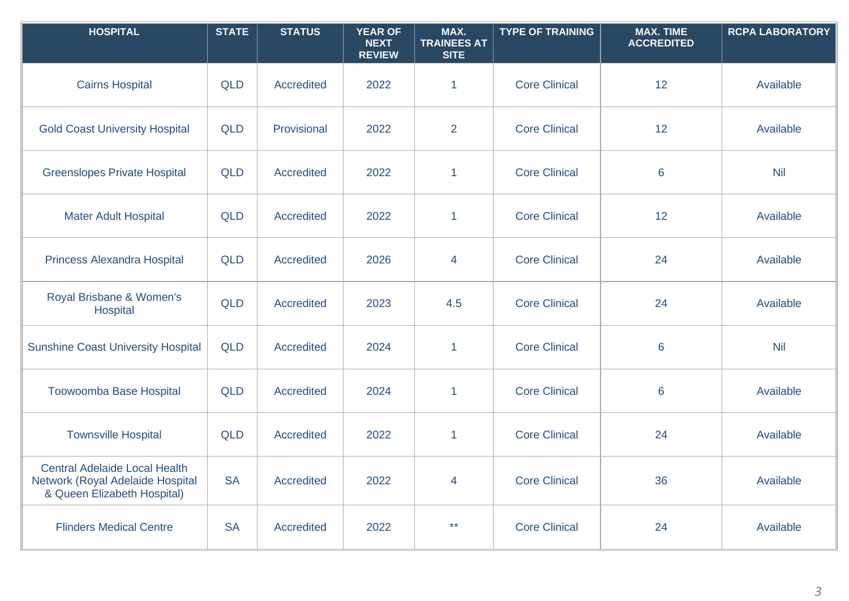| <b>HOSPITAL</b>                                                                                         | <b>STATE</b> | <b>STATUS</b>     | <b>YEAR OF</b><br><b>NEXT</b><br><b>REVIEW</b> | MAX.<br><b>TRAINEES AT</b><br><b>SITE</b> | <b>TYPE OF TRAINING</b> | <b>MAX. TIME</b><br><b>ACCREDITED</b> | <b>RCPA LABORATORY</b> |
|---------------------------------------------------------------------------------------------------------|--------------|-------------------|------------------------------------------------|-------------------------------------------|-------------------------|---------------------------------------|------------------------|
| <b>Cairns Hospital</b>                                                                                  | <b>QLD</b>   | <b>Accredited</b> | 2022                                           | $\mathbf 1$                               | <b>Core Clinical</b>    | 12                                    | Available              |
| <b>Gold Coast University Hospital</b>                                                                   | <b>QLD</b>   | Provisional       | 2022                                           | $\overline{2}$                            | <b>Core Clinical</b>    | 12                                    | Available              |
| <b>Greenslopes Private Hospital</b>                                                                     | <b>QLD</b>   | <b>Accredited</b> | 2022                                           | $\mathbf{1}$                              | <b>Core Clinical</b>    | 6                                     | <b>Nil</b>             |
| <b>Mater Adult Hospital</b>                                                                             | <b>QLD</b>   | <b>Accredited</b> | 2022                                           | $\mathbf{1}$                              | <b>Core Clinical</b>    | 12                                    | Available              |
| <b>Princess Alexandra Hospital</b>                                                                      | <b>QLD</b>   | <b>Accredited</b> | 2026                                           | $\overline{4}$                            | <b>Core Clinical</b>    | 24                                    | Available              |
| Royal Brisbane & Women's<br>Hospital                                                                    | <b>QLD</b>   | <b>Accredited</b> | 2023                                           | 4.5                                       | <b>Core Clinical</b>    | 24                                    | Available              |
| <b>Sunshine Coast University Hospital</b>                                                               | <b>QLD</b>   | <b>Accredited</b> | 2024                                           | $\mathbf{1}$                              | <b>Core Clinical</b>    | $6\phantom{1}6$                       | <b>Nil</b>             |
| <b>Toowoomba Base Hospital</b>                                                                          | <b>QLD</b>   | <b>Accredited</b> | 2024                                           | $\mathbf{1}$                              | <b>Core Clinical</b>    | 6                                     | Available              |
| <b>Townsville Hospital</b>                                                                              | <b>QLD</b>   | <b>Accredited</b> | 2022                                           | $\mathbf{1}$                              | <b>Core Clinical</b>    | 24                                    | Available              |
| <b>Central Adelaide Local Health</b><br>Network (Royal Adelaide Hospital<br>& Queen Elizabeth Hospital) | <b>SA</b>    | <b>Accredited</b> | 2022                                           | 4                                         | <b>Core Clinical</b>    | 36                                    | Available              |
| <b>Flinders Medical Centre</b>                                                                          | <b>SA</b>    | Accredited        | 2022                                           | $\star\star$                              | <b>Core Clinical</b>    | 24                                    | Available              |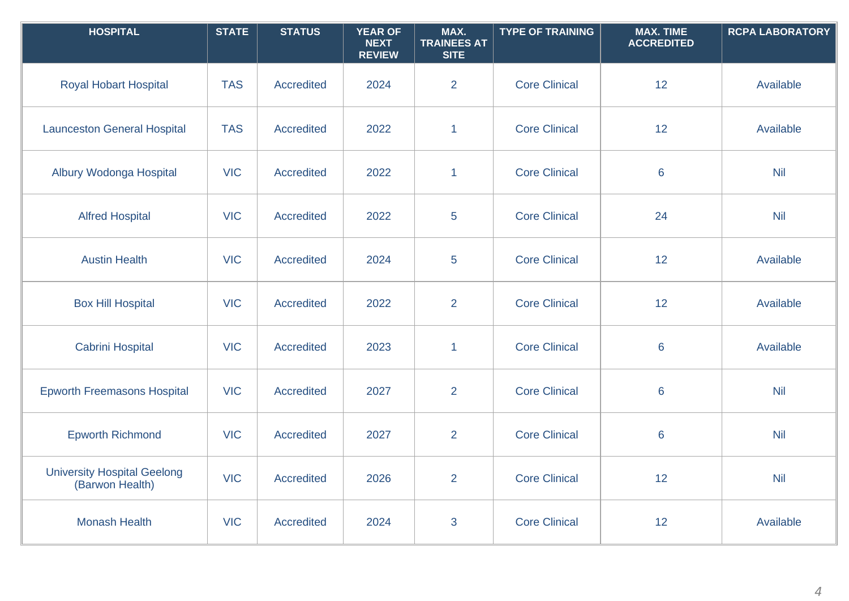| <b>HOSPITAL</b>                                       | <b>STATE</b> | <b>STATUS</b>     | <b>YEAR OF</b><br><b>NEXT</b><br><b>REVIEW</b> | MAX.<br><b>TRAINEES AT</b><br><b>SITE</b> | <b>TYPE OF TRAINING</b> | <b>MAX. TIME</b><br><b>ACCREDITED</b> | <b>RCPA LABORATORY</b> |
|-------------------------------------------------------|--------------|-------------------|------------------------------------------------|-------------------------------------------|-------------------------|---------------------------------------|------------------------|
| <b>Royal Hobart Hospital</b>                          | <b>TAS</b>   | <b>Accredited</b> | 2024                                           | $\overline{2}$                            | <b>Core Clinical</b>    | 12                                    | Available              |
| <b>Launceston General Hospital</b>                    | <b>TAS</b>   | <b>Accredited</b> | 2022                                           | $\mathbf{1}$                              | <b>Core Clinical</b>    | 12                                    | Available              |
| Albury Wodonga Hospital                               | <b>VIC</b>   | <b>Accredited</b> | 2022                                           | $\mathbf{1}$                              | <b>Core Clinical</b>    | $6\phantom{1}6$                       | <b>Nil</b>             |
| <b>Alfred Hospital</b>                                | <b>VIC</b>   | <b>Accredited</b> | 2022                                           | 5                                         | <b>Core Clinical</b>    | 24                                    | <b>Nil</b>             |
| <b>Austin Health</b>                                  | <b>VIC</b>   | <b>Accredited</b> | 2024                                           | 5                                         | <b>Core Clinical</b>    | 12                                    | Available              |
| <b>Box Hill Hospital</b>                              | <b>VIC</b>   | <b>Accredited</b> | 2022                                           | $\overline{2}$                            | <b>Core Clinical</b>    | 12                                    | Available              |
| <b>Cabrini Hospital</b>                               | <b>VIC</b>   | <b>Accredited</b> | 2023                                           | $\mathbf{1}$                              | <b>Core Clinical</b>    | $6\phantom{1}6$                       | Available              |
| <b>Epworth Freemasons Hospital</b>                    | <b>VIC</b>   | <b>Accredited</b> | 2027                                           | $\overline{2}$                            | <b>Core Clinical</b>    | $6\phantom{1}6$                       | <b>Nil</b>             |
| <b>Epworth Richmond</b>                               | <b>VIC</b>   | <b>Accredited</b> | 2027                                           | $\overline{2}$                            | <b>Core Clinical</b>    | $6\phantom{1}6$                       | <b>Nil</b>             |
| <b>University Hospital Geelong</b><br>(Barwon Health) | <b>VIC</b>   | <b>Accredited</b> | 2026                                           | $\overline{2}$                            | <b>Core Clinical</b>    | 12                                    | <b>Nil</b>             |
| <b>Monash Health</b>                                  | <b>VIC</b>   | <b>Accredited</b> | 2024                                           | 3                                         | <b>Core Clinical</b>    | 12                                    | Available              |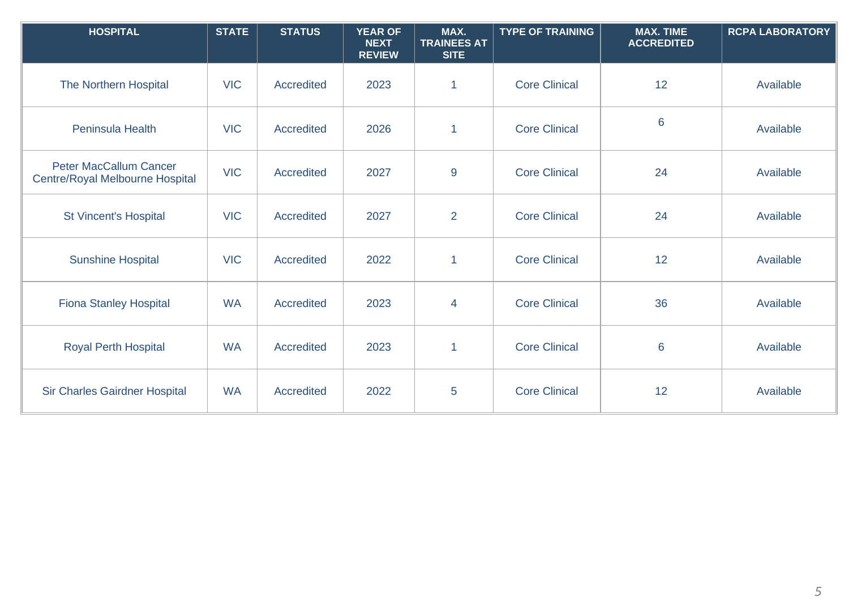| <b>HOSPITAL</b>                                                  | <b>STATE</b> | <b>STATUS</b>     | <b>YEAR OF</b><br><b>NEXT</b><br><b>REVIEW</b> | MAX.<br><b>TRAINEES AT</b><br><b>SITE</b> | <b>TYPE OF TRAINING</b> | <b>MAX. TIME</b><br><b>ACCREDITED</b> | <b>RCPA LABORATORY</b> |
|------------------------------------------------------------------|--------------|-------------------|------------------------------------------------|-------------------------------------------|-------------------------|---------------------------------------|------------------------|
| The Northern Hospital                                            | <b>VIC</b>   | <b>Accredited</b> | 2023                                           | $\mathbf{1}$                              | <b>Core Clinical</b>    | 12                                    | Available              |
| Peninsula Health                                                 | <b>VIC</b>   | <b>Accredited</b> | 2026                                           | $\mathbf{1}$                              | <b>Core Clinical</b>    | $6\phantom{1}6$                       | Available              |
| <b>Peter MacCallum Cancer</b><br>Centre/Royal Melbourne Hospital | <b>VIC</b>   | <b>Accredited</b> | 2027                                           | 9                                         | <b>Core Clinical</b>    | 24                                    | Available              |
| <b>St Vincent's Hospital</b>                                     | <b>VIC</b>   | <b>Accredited</b> | 2027                                           | $\overline{2}$                            | <b>Core Clinical</b>    | 24                                    | Available              |
| <b>Sunshine Hospital</b>                                         | <b>VIC</b>   | <b>Accredited</b> | 2022                                           | $\mathbf{1}$                              | <b>Core Clinical</b>    | 12                                    | Available              |
| <b>Fiona Stanley Hospital</b>                                    | <b>WA</b>    | Accredited        | 2023                                           | $\overline{4}$                            | <b>Core Clinical</b>    | 36                                    | Available              |
| <b>Royal Perth Hospital</b>                                      | <b>WA</b>    | <b>Accredited</b> | 2023                                           | $\mathbf{1}$                              | <b>Core Clinical</b>    | $6\phantom{1}6$                       | Available              |
| <b>Sir Charles Gairdner Hospital</b>                             | <b>WA</b>    | <b>Accredited</b> | 2022                                           | 5                                         | <b>Core Clinical</b>    | 12                                    | Available              |